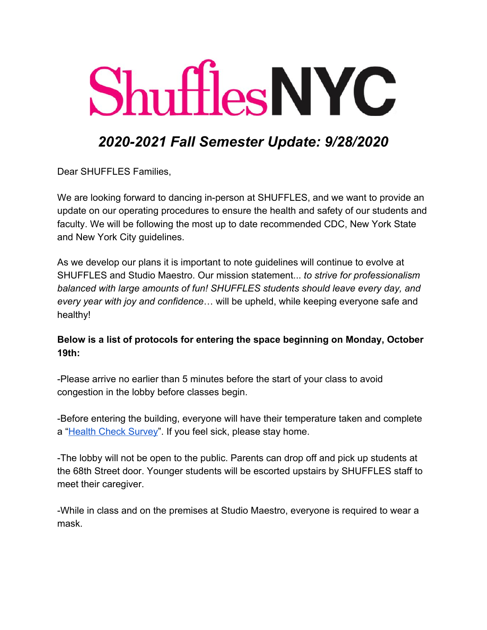# **Shuffles NYC**

## *2020-2021 Fall Semester Update: 9/28/2020*

Dear SHUFFLES Families,

We are looking forward to dancing in-person at SHUFFLES, and we want to provide an update on our operating procedures to ensure the health and safety of our students and faculty. We will be following the most up to date recommended CDC, New York State and New York City guidelines.

As we develop our plans it is important to note guidelines will continue to evolve at SHUFFLES and Studio Maestro. Our mission statement... *to strive for professionalism balanced with large amounts of fun! SHUFFLES students should leave every day, and every year with joy and confidence*… will be upheld, while keeping everyone safe and healthy!

#### **Below is a list of protocols for entering the space beginning on Monday, October 19th:**

-Please arrive no earlier than 5 minutes before the start of your class to avoid congestion in the lobby before classes begin.

-Before entering the building, everyone will have their temperature taken and complete a "[Health Check Survey"](https://forms.gle/o9SAhqjqzjm1tjKF8). If you feel sick, please stay home.

-The lobby will not be open to the public. Parents can drop off and pick up students at the 68th Street door. Younger students will be escorted upstairs by SHUFFLES staff to meet their caregiver.

-While in class and on the premises at Studio Maestro, everyone is required to wear a mask.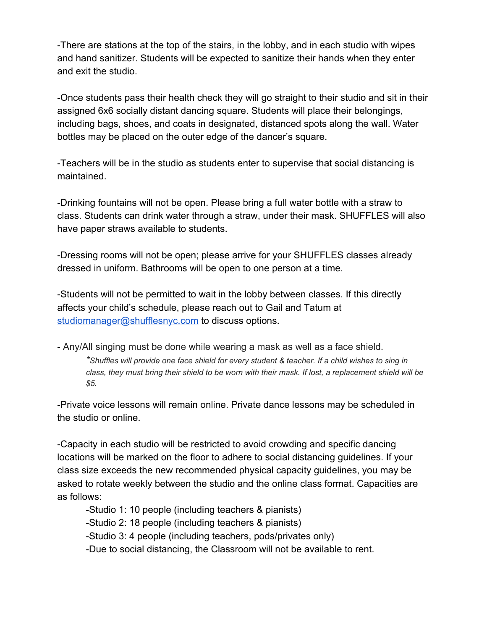-There are stations at the top of the stairs, in the lobby, and in each studio with wipes and hand sanitizer. Students will be expected to sanitize their hands when they enter and exit the studio.

-Once students pass their health check they will go straight to their studio and sit in their assigned 6x6 socially distant dancing square. Students will place their belongings, including bags, shoes, and coats in designated, distanced spots along the wall. Water bottles may be placed on the outer edge of the dancer's square.

-Teachers will be in the studio as students enter to supervise that social distancing is maintained.

-Drinking fountains will not be open. Please bring a full water bottle with a straw to class. Students can drink water through a straw, under their mask. SHUFFLES will also have paper straws available to students.

-Dressing rooms will not be open; please arrive for your SHUFFLES classes already dressed in uniform. Bathrooms will be open to one person at a time.

-Students will not be permitted to wait in the lobby between classes. If this directly affects your child's schedule, please reach out to Gail and Tatum at [studiomanager@shufflesnyc.com](mailto:studiomanager@shufflesnyc.com) to discuss options.

- Any/All singing must be done while wearing a mask as well as a face shield. \*Shuffles will provide one face shield for every student & teacher. If a child wishes to sing in class, they must bring their shield to be worn with their mask. If lost, a replacement shield will be *\$5.*

-Private voice lessons will remain online. Private dance lessons may be scheduled in the studio or online.

-Capacity in each studio will be restricted to avoid crowding and specific dancing locations will be marked on the floor to adhere to social distancing guidelines. If your class size exceeds the new recommended physical capacity guidelines, you may be asked to rotate weekly between the studio and the online class format. Capacities are as follows:

-Studio 1: 10 people (including teachers & pianists)

-Studio 2: 18 people (including teachers & pianists)

-Studio 3: 4 people (including teachers, pods/privates only)

-Due to social distancing, the Classroom will not be available to rent.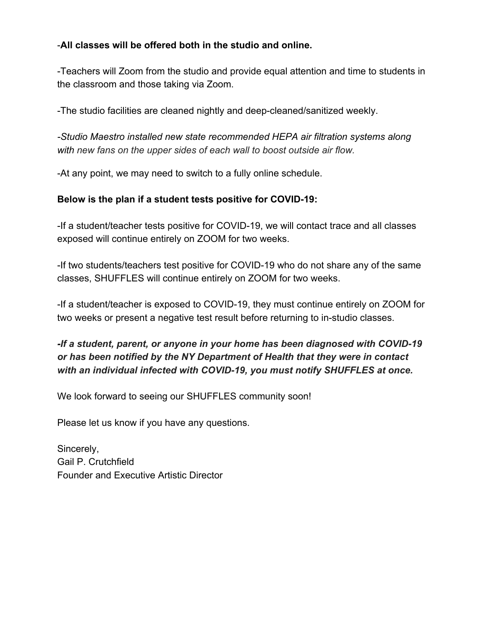#### -**All classes will be offered both in the studio and online.**

-Teachers will Zoom from the studio and provide equal attention and time to students in the classroom and those taking via Zoom.

-The studio facilities are cleaned nightly and deep-cleaned/sanitized weekly.

*-Studio Maestro installed new state recommended HEPA air filtration systems along with new fans on the upper sides of each wall to boost outside air flow.*

-At any point, we may need to switch to a fully online schedule.

#### **Below is the plan if a student tests positive for COVID-19:**

-If a student/teacher tests positive for COVID-19, we will contact trace and all classes exposed will continue entirely on ZOOM for two weeks.

-If two students/teachers test positive for COVID-19 who do not share any of the same classes, SHUFFLES will continue entirely on ZOOM for two weeks.

-If a student/teacher is exposed to COVID-19, they must continue entirely on ZOOM for two weeks or present a negative test result before returning to in-studio classes.

### *-If a student, parent, or anyone in your home has been diagnosed with COVID-19 or has been notified by the NY Department of Health that they were in contact with an individual infected with COVID-19, you must notify SHUFFLES at once.*

We look forward to seeing our SHUFFLES community soon!

Please let us know if you have any questions.

Sincerely, Gail P. Crutchfield Founder and Executive Artistic Director